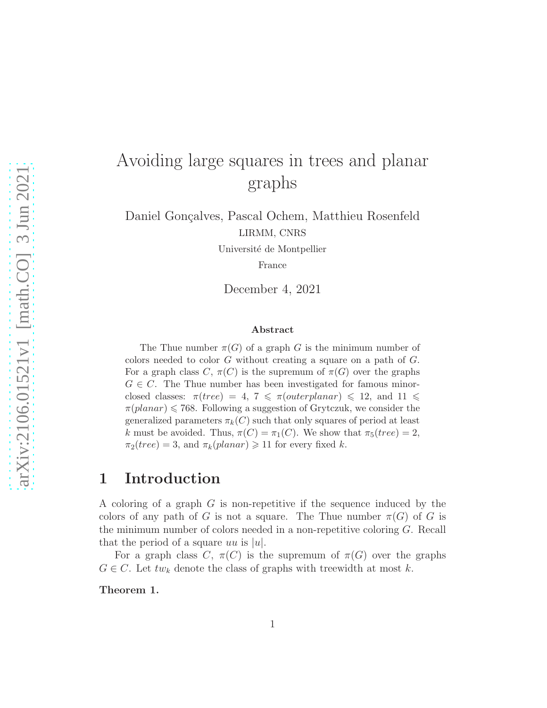# Avoiding large squares in trees and planar graphs

Daniel Gonçalves, Pascal Ochem, Matthieu Rosenfeld LIRMM, CNRS

Université de Montpellier

France

December 4, 2021

#### Abstract

The Thue number  $\pi(G)$  of a graph G is the minimum number of colors needed to color  $G$  without creating a square on a path of  $G$ . For a graph class C,  $\pi(C)$  is the supremum of  $\pi(G)$  over the graphs  $G \in \mathbb{C}$ . The Thue number has been investigated for famous minorclosed classes:  $\pi(tree) = 4, 7 \leq \pi(outerplanar) \leq 12,$  and  $11 \leq$  $\pi(planar) \leq 768$ . Following a suggestion of Grytczuk, we consider the generalized parameters  $\pi_k(C)$  such that only squares of period at least k must be avoided. Thus,  $\pi(C) = \pi_1(C)$ . We show that  $\pi_5(tree) = 2$ ,  $\pi_2(tree) = 3$ , and  $\pi_k(planar) \geq 11$  for every fixed k.

## 1 Introduction

A coloring of a graph G is non-repetitive if the sequence induced by the colors of any path of G is not a square. The Thue number  $\pi(G)$  of G is the minimum number of colors needed in a non-repetitive coloring G. Recall that the period of a square uu is |u|.

For a graph class C,  $\pi(C)$  is the supremum of  $\pi(G)$  over the graphs  $G \in \mathcal{C}$ . Let  $tw_k$  denote the class of graphs with treewidth at most k.

Theorem 1.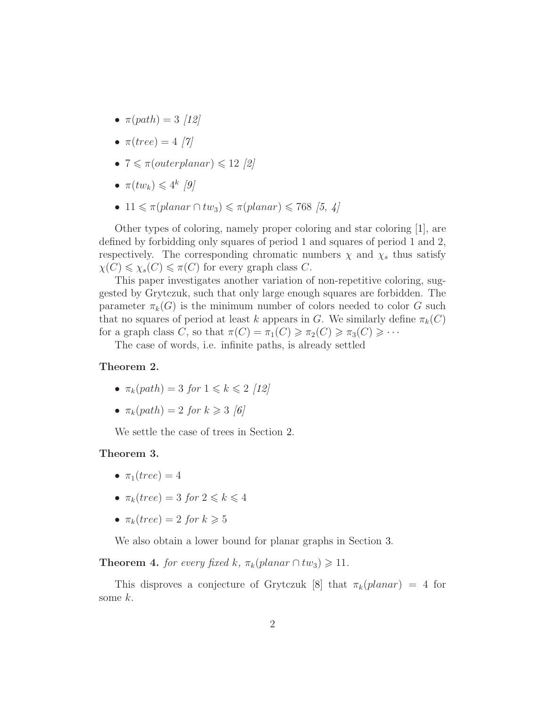- $\pi(path) = 3$  [\[12\]](#page-6-0)
- $\pi(tree) = 4$  [\[7\]](#page-6-1)
- $7 \leq \pi(\text{outerplanar}) \leq 12$  [\[2\]](#page-6-2)
- $\pi(tw_k) \leq 4^k$  [\[9\]](#page-6-3)
- 11  $\leq \pi$ (planar ∩ tw<sub>3</sub>)  $\leq \pi$ (planar)  $\leq 768$  [\[5,](#page-6-4) [4\]](#page-6-5)

Other types of coloring, namely proper coloring and star coloring [\[1\]](#page-6-6), are defined by forbidding only squares of period 1 and squares of period 1 and 2, respectively. The corresponding chromatic numbers  $\chi$  and  $\chi_s$  thus satisfy  $\chi(C) \leq \chi_s(C) \leq \pi(C)$  for every graph class C.

This paper investigates another variation of non-repetitive coloring, suggested by Grytczuk, such that only large enough squares are forbidden. The parameter  $\pi_k(G)$  is the minimum number of colors needed to color G such that no squares of period at least k appears in G. We similarly define  $\pi_k(C)$ for a graph class C, so that  $\pi(C) = \pi_1(C) \geq \pi_2(C) \geq \pi_3(C) \geq \cdots$ 

The case of words, i.e. infinite paths, is already settled

#### Theorem 2.

- $\pi_k(path) = 3$  for  $1 \leq k \leq 2$  [\[12\]](#page-6-0)
- $\pi_k(path) = 2$  for  $k \geq 3$  [\[6\]](#page-6-7)

We settle the case of trees in Section [2.](#page-2-0)

#### Theorem 3.

- $\pi_1(tree) = 4$
- $\pi_k(tree) = 3$  for  $2 \leq k \leq 4$
- $\pi_k(tree) = 2$  for  $k \geqslant 5$

<span id="page-1-0"></span>We also obtain a lower bound for planar graphs in Section [3.](#page-3-0)

**Theorem 4.** for every fixed k,  $\pi_k(\text{planar} \cap tw_3) \geq 11$ .

This disproves a conjecture of Grytczuk [\[8\]](#page-6-8) that  $\pi_k(\text{planar}) = 4$  for some  $k$ .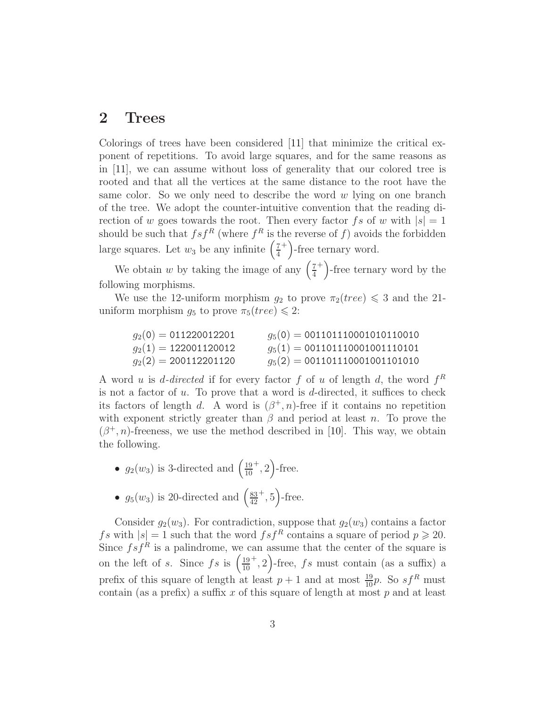### <span id="page-2-0"></span>2 Trees

Colorings of trees have been considered [\[11\]](#page-6-9) that minimize the critical exponent of repetitions. To avoid large squares, and for the same reasons as in [\[11\]](#page-6-9), we can assume without loss of generality that our colored tree is rooted and that all the vertices at the same distance to the root have the same color. So we only need to describe the word  $w$  lying on one branch of the tree. We adopt the counter-intuitive convention that the reading direction of w goes towards the root. Then every factor fs of w with  $|s|=1$ should be such that  $fsf^R$  (where  $f^R$  is the reverse of f) avoids the forbidden large squares. Let  $w_3$  be any infinite  $\left(\frac{7}{4}\right)$ 4  $^{+}$ )-free ternary word.

We obtain w by taking the image of any  $\left(\frac{7}{4}\right)$ 4 <sup>+</sup>)-free ternary word by the following morphisms.

We use the 12-uniform morphism  $g_2$  to prove  $\pi_2(tree) \leq 3$  and the 21uniform morphism  $g_5$  to prove  $\pi_5(tree) \leq 2$ :

| $g_2(0) = 011220012201$ | $g_5(0) = 001101110001010110010$ |
|-------------------------|----------------------------------|
| $g_2(1) = 122001120012$ | $g_5(1) = 001101110001001110101$ |
| $g_2(2) = 200112201120$ | $g_5(2) = 001101110001001101010$ |

A word u is d-directed if for every factor f of u of length d, the word  $f^R$ is not a factor of  $u$ . To prove that a word is  $d$ -directed, it suffices to check its factors of length d. A word is  $(\beta^+, n)$ -free if it contains no repetition with exponent strictly greater than  $\beta$  and period at least n. To prove the  $(\beta^+, n)$ -freeness, we use the method described in [\[10\]](#page-6-10). This way, we obtain the following.

- $g_2(w_3)$  is 3-directed and  $\left(\frac{19}{10}\right)$ 10  $^+, 2$ )-free.
- $g_5(w_3)$  is 20-directed and  $\left(\frac{83}{42}\right)$ 42  $^+, 5$ )-free.

Consider  $g_2(w_3)$ . For contradiction, suppose that  $g_2(w_3)$  contains a factor fs with  $|s| = 1$  such that the word  $fsf^R$  contains a square of period  $p \ge 20$ . Since  $fsf^R$  is a palindrome, we can assume that the center of the square is on the left of s. Since  $fs$  is  $\left(\frac{19}{10}\right)$ 10  $^{+}$ , 2)-free, fs must contain (as a suffix) a prefix of this square of length at least  $p + 1$  and at most  $\frac{19}{10}p$ . So  $sf^R$  must contain (as a prefix) a suffix  $x$  of this square of length at most  $p$  and at least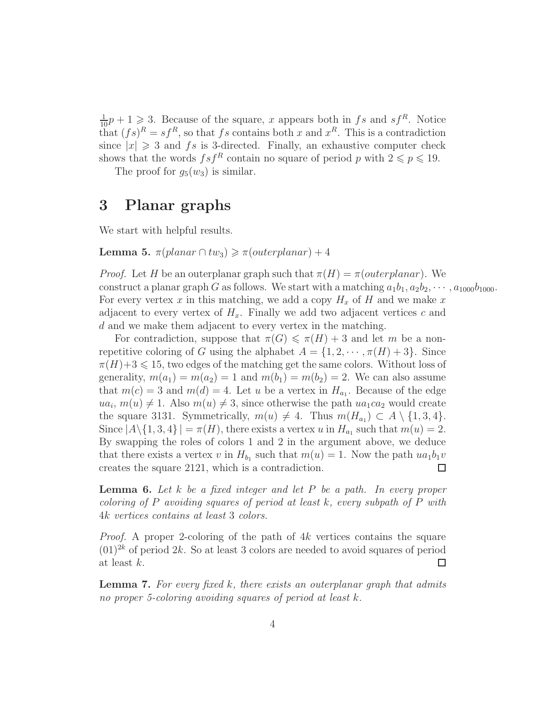$\frac{1}{10}p+1 \geq 3$ . Because of the square, x appears both in fs and sf<sup>R</sup>. Notice that  $(f_s)^R = sf^R$ , so that fs contains both x and  $x^R$ . This is a contradiction since  $|x| \geq 3$  and fs is 3-directed. Finally, an exhaustive computer check shows that the words  $fsf^R$  contain no square of period p with  $2 \leq p \leq 19$ .

The proof for  $g_5(w_3)$  is similar.

### <span id="page-3-0"></span>3 Planar graphs

<span id="page-3-2"></span>We start with helpful results.

Lemma 5.  $\pi$ (planar  $\cap$  tw<sub>3</sub>)  $\geq \pi$ (outerplanar) + 4

*Proof.* Let H be an outerplanar graph such that  $\pi(H) = \pi(outerplanar)$ . We construct a planar graph G as follows. We start with a matching  $a_1b_1, a_2b_2, \cdots, a_{1000}b_{1000}$ . For every vertex x in this matching, we add a copy  $H_x$  of H and we make x adjacent to every vertex of  $H_x$ . Finally we add two adjacent vertices c and d and we make them adjacent to every vertex in the matching.

For contradiction, suppose that  $\pi(G) \leq \pi(H) + 3$  and let m be a nonrepetitive coloring of G using the alphabet  $A = \{1, 2, \dots, \pi(H) + 3\}$ . Since  $\pi(H)+3 \leq 15$ , two edges of the matching get the same colors. Without loss of generality,  $m(a_1) = m(a_2) = 1$  and  $m(b_1) = m(b_2) = 2$ . We can also assume that  $m(c) = 3$  and  $m(d) = 4$ . Let u be a vertex in  $H_{a_1}$ . Because of the edge  $ua_i, m(u) \neq 1$ . Also  $m(u) \neq 3$ , since otherwise the path  $ua_1ca_2$  would create the square 3131. Symmetrically,  $m(u) \neq 4$ . Thus  $m(H_{a_1}) \subset A \setminus \{1, 3, 4\}$ . Since  $|A \setminus \{1, 3, 4\}| = \pi(H)$ , there exists a vertex u in  $H_{a_1}$  such that  $m(u) = 2$ . By swapping the roles of colors 1 and 2 in the argument above, we deduce that there exists a vertex v in  $H_{b_1}$  such that  $m(u) = 1$ . Now the path  $ua_1b_1v$ creates the square 2121, which is a contradiction.  $\Box$ 

<span id="page-3-1"></span>**Lemma 6.** Let  $k$  be a fixed integer and let  $P$  be a path. In every proper coloring of P avoiding squares of period at least k, every subpath of P with 4k vertices contains at least 3 colors.

*Proof.* A proper 2-coloring of the path of  $4k$  vertices contains the square  $(01)^{2k}$  of period  $2k$ . So at least 3 colors are needed to avoid squares of period at least k.  $\Box$ 

<span id="page-3-3"></span>**Lemma 7.** For every fixed  $k$ , there exists an outerplanar graph that admits no proper 5-coloring avoiding squares of period at least k.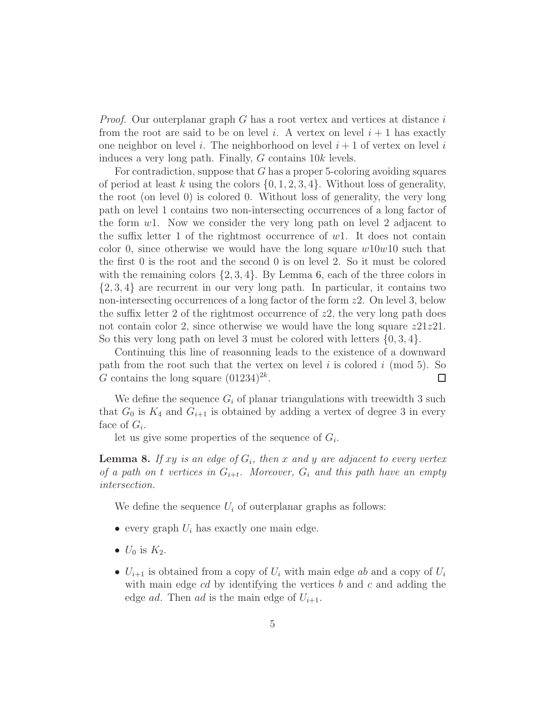*Proof.* Our outerplanar graph  $G$  has a root vertex and vertices at distance  $i$ from the root are said to be on level i. A vertex on level  $i + 1$  has exactly one neighbor on level i. The neighborhood on level  $i + 1$  of vertex on level i induces a very long path. Finally, G contains 10k levels.

For contradiction, suppose that G has a proper 5-coloring avoiding squares of period at least k using the colors  $\{0, 1, 2, 3, 4\}$ . Without loss of generality, the root (on level 0) is colored 0. Without loss of generality, the very long path on level 1 contains two non-intersecting occurrences of a long factor of the form  $w1$ . Now we consider the very long path on level 2 adjacent to the suffix letter 1 of the rightmost occurrence of  $w1$ . It does not contain color 0, since otherwise we would have the long square  $w10w10$  such that the first 0 is the root and the second 0 is on level 2. So it must be colored with the remaining colors  $\{2, 3, 4\}$ . By Lemma [6,](#page-3-1) each of the three colors in {2, 3, 4} are recurrent in our very long path. In particular, it contains two non-intersecting occurrences of a long factor of the form z2. On level 3, below the suffix letter 2 of the rightmost occurrence of  $z2$ , the very long path does not contain color 2, since otherwise we would have the long square  $z21z21$ . So this very long path on level 3 must be colored with letters  $\{0, 3, 4\}$ .

Continuing this line of reasonning leads to the existence of a downward path from the root such that the vertex on level i is colored i (mod 5). So G contains the long square  $(01234)^{2k}$ .  $\Box$ 

We define the sequence  $G_i$  of planar triangulations with treewidth 3 such that  $G_0$  is  $K_4$  and  $G_{i+1}$  is obtained by adding a vertex of degree 3 in every face of  $G_i$ .

<span id="page-4-0"></span>let us give some properties of the sequence of  $G_i$ .

**Lemma 8.** If xy is an edge of  $G_i$ , then x and y are adjacent to every vertex of a path on t vertices in  $G_{i+t}$ . Moreover,  $G_i$  and this path have an empty intersection.

We define the sequence  $U_i$  of outerplanar graphs as follows:

- every graph  $U_i$  has exactly one main edge.
- $U_0$  is  $K_2$ .
- $U_{i+1}$  is obtained from a copy of  $U_i$  with main edge ab and a copy of  $U_i$ with main edge  $cd$  by identifying the vertices  $b$  and  $c$  and adding the edge *ad*. Then *ad* is the main edge of  $U_{i+1}$ .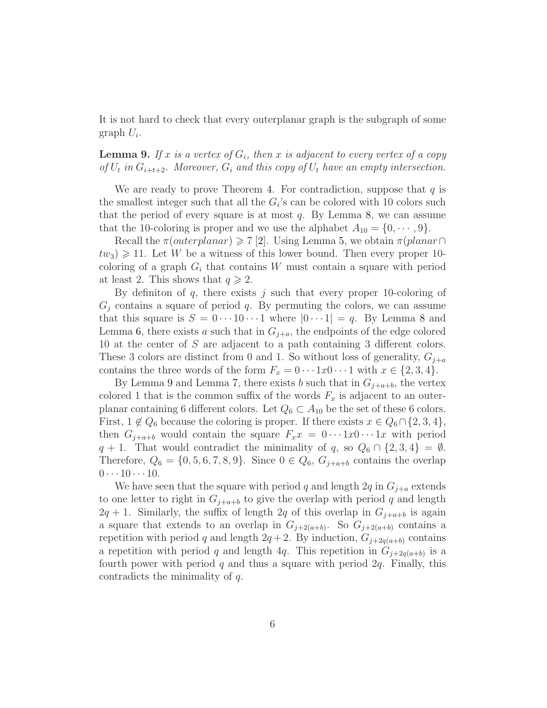<span id="page-5-0"></span>It is not hard to check that every outerplanar graph is the subgraph of some graph  $U_i$ .

### **Lemma 9.** If x is a vertex of  $G_i$ , then x is adjacent to every vertex of a copy of  $U_t$  in  $G_{i+t+2}$ . Moreover,  $G_i$  and this copy of  $U_t$  have an empty intersection.

We are ready to prove Theorem [4.](#page-1-0) For contradiction, suppose that  $q$  is the smallest integer such that all the  $G_i$ 's can be colored with 10 colors such that the period of every square is at most  $q$ . By Lemma [8,](#page-4-0) we can assume that the 10-coloring is proper and we use the alphabet  $A_{10} = \{0, \dots, 9\}.$ 

Recall the  $\pi(outerplanar) \geq 7$  [\[2\]](#page-6-2). Using Lemma [5,](#page-3-2) we obtain  $\pi(planar\cap$  $tw_3$ )  $\geq 11$ . Let W be a witness of this lower bound. Then every proper 10coloring of a graph  $G_i$  that contains W must contain a square with period at least 2. This shows that  $q \geq 2$ .

By definition of q, there exists j such that every proper 10-coloring of  $G_i$  contains a square of period q. By permuting the colors, we can assume that this square is  $S = 0 \cdots 10 \cdots 1$  where  $|0 \cdots 1| = q$ . By Lemma [8](#page-4-0) and Lemma [6,](#page-3-1) there exists a such that in  $G_{j+a}$ , the endpoints of the edge colored 10 at the center of S are adjacent to a path containing 3 different colors. These 3 colors are distinct from 0 and 1. So without loss of generality,  $G_{j+a}$ contains the three words of the form  $F_x = 0 \cdots 1x0 \cdots 1$  with  $x \in \{2, 3, 4\}$ .

By Lemma [9](#page-5-0) and Lemma [7,](#page-3-3) there exists b such that in  $G_{j+a+b}$ , the vertex colored 1 that is the common suffix of the words  $F_x$  is adjacent to an outerplanar containing 6 different colors. Let  $Q_6 \subset A_{10}$  be the set of these 6 colors. First,  $1 \notin Q_6$  because the coloring is proper. If there exists  $x \in Q_6 \cap \{2, 3, 4\},$ then  $G_{j+a+b}$  would contain the square  $F_x x = 0 \cdots 1x0 \cdots 1x$  with period  $q + 1$ . That would contradict the minimality of q, so  $Q_6 \cap \{2, 3, 4\} = \emptyset$ . Therefore,  $Q_6 = \{0, 5, 6, 7, 8, 9\}$ . Since  $0 \in Q_6$ ,  $G_{j+a+b}$  contains the overlap  $0 \cdots 10 \cdots 10$ .

We have seen that the square with period q and length  $2q$  in  $G_{i+a}$  extends to one letter to right in  $G_{j+a+b}$  to give the overlap with period q and length  $2q + 1$ . Similarly, the suffix of length  $2q$  of this overlap in  $G_{j+a+b}$  is again a square that extends to an overlap in  $G_{j+2(a+b)}$ . So  $G_{j+2(a+b)}$  contains a repetition with period q and length  $2q + 2$ . By induction,  $G_{j+2q(a+b)}$  contains a repetition with period q and length 4q. This repetition in  $G_{j+2q(a+b)}$  is a fourth power with period q and thus a square with period  $2q$ . Finally, this contradicts the minimality of q.